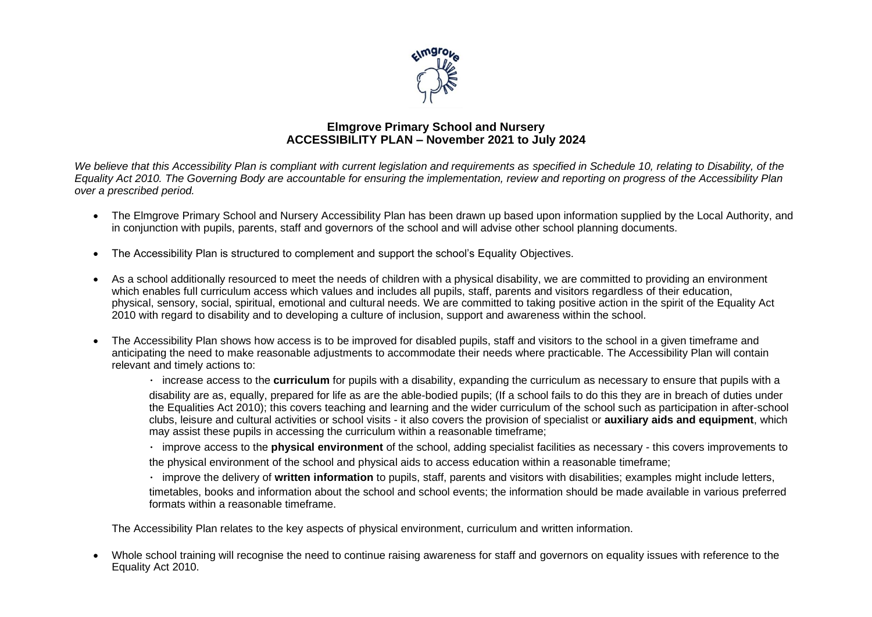

## **Elmgrove Primary School and Nursery ACCESSIBILITY PLAN – November 2021 to July 2024**

*We believe that this Accessibility Plan is compliant with current legislation and requirements as specified in Schedule 10, relating to Disability, of the Equality Act 2010. The Governing Body are accountable for ensuring the implementation, review and reporting on progress of the Accessibility Plan over a prescribed period.*

- The Elmgrove Primary School and Nursery Accessibility Plan has been drawn up based upon information supplied by the Local Authority, and in conjunction with pupils, parents, staff and governors of the school and will advise other school planning documents.
- The Accessibility Plan is structured to complement and support the school's Equality Objectives.
- As a school additionally resourced to meet the needs of children with a physical disability, we are committed to providing an environment which enables full curriculum access which values and includes all pupils, staff, parents and visitors regardless of their education, physical, sensory, social, spiritual, emotional and cultural needs. We are committed to taking positive action in the spirit of the Equality Act 2010 with regard to disability and to developing a culture of inclusion, support and awareness within the school.
- The Accessibility Plan shows how access is to be improved for disabled pupils, staff and visitors to the school in a given timeframe and anticipating the need to make reasonable adjustments to accommodate their needs where practicable. The Accessibility Plan will contain relevant and timely actions to:

increase access to the **curriculum** for pupils with a disability, expanding the curriculum as necessary to ensure that pupils with a disability are as, equally, prepared for life as are the able-bodied pupils; (If a school fails to do this they are in breach of duties under the Equalities Act 2010); this covers teaching and learning and the wider curriculum of the school such as participation in after-school clubs, leisure and cultural activities or school visits - it also covers the provision of specialist or **auxiliary aids and equipment**, which may assist these pupils in accessing the curriculum within a reasonable timeframe;

improve access to the **physical environment** of the school, adding specialist facilities as necessary - this covers improvements to the physical environment of the school and physical aids to access education within a reasonable timeframe;

improve the delivery of **written information** to pupils, staff, parents and visitors with disabilities; examples might include letters, timetables, books and information about the school and school events; the information should be made available in various preferred formats within a reasonable timeframe.

The Accessibility Plan relates to the key aspects of physical environment, curriculum and written information.

• Whole school training will recognise the need to continue raising awareness for staff and governors on equality issues with reference to the Equality Act 2010.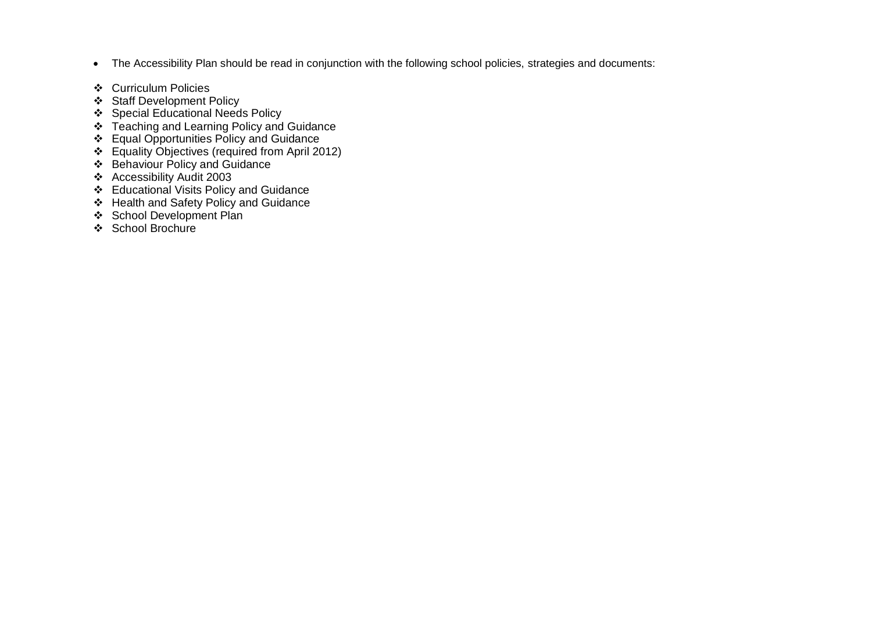- The Accessibility Plan should be read in conjunction with the following school policies, strategies and documents:
- ❖ Curriculum Policies
- ❖ Staff Development Policy
- ❖ Special Educational Needs Policy
- ❖ Teaching and Learning Policy and Guidance
- ❖ Equal Opportunities Policy and Guidance
- ❖ Equality Objectives (required from April 2012)
- ❖ Behaviour Policy and Guidance
- ❖ Accessibility Audit 2003
- ❖ Educational Visits Policy and Guidance
- ❖ Health and Safety Policy and Guidance
- ❖ School Development Plan
- ❖ School Brochure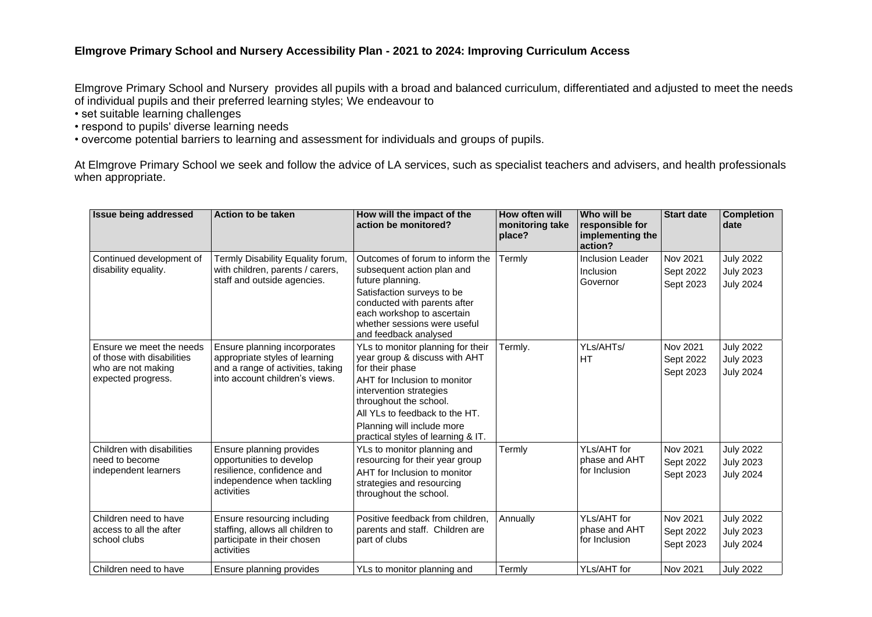## **Elmgrove Primary School and Nursery Accessibility Plan - 2021 to 2024: Improving Curriculum Access**

Elmgrove Primary School and Nursery provides all pupils with a broad and balanced curriculum, differentiated and adjusted to meet the needs of individual pupils and their preferred learning styles; We endeavour to

- set suitable learning challenges
- respond to pupils' diverse learning needs
- overcome potential barriers to learning and assessment for individuals and groups of pupils.

At Elmgrove Primary School we seek and follow the advice of LA services, such as specialist teachers and advisers, and health professionals when appropriate.

| <b>Issue being addressed</b>                                                                       | <b>Action to be taken</b>                                                                                                             | How will the impact of the<br>action be monitored?                                                                                                                                                                                                                               | How often will<br>monitoring take<br>place? | Who will be<br>responsible for<br>implementing the<br>action? | <b>Start date</b>                  | <b>Completion</b><br>date                                |
|----------------------------------------------------------------------------------------------------|---------------------------------------------------------------------------------------------------------------------------------------|----------------------------------------------------------------------------------------------------------------------------------------------------------------------------------------------------------------------------------------------------------------------------------|---------------------------------------------|---------------------------------------------------------------|------------------------------------|----------------------------------------------------------|
| Continued development of<br>disability equality.                                                   | Termly Disability Equality forum,<br>with children, parents / carers,<br>staff and outside agencies.                                  | Outcomes of forum to inform the<br>subsequent action plan and<br>future planning.<br>Satisfaction surveys to be<br>conducted with parents after<br>each workshop to ascertain<br>whether sessions were useful<br>and feedback analysed                                           | Termly                                      | <b>Inclusion Leader</b><br>Inclusion<br>Governor              | Nov 2021<br>Sept 2022<br>Sept 2023 | <b>July 2022</b><br><b>July 2023</b><br><b>July 2024</b> |
| Ensure we meet the needs<br>of those with disabilities<br>who are not making<br>expected progress. | Ensure planning incorporates<br>appropriate styles of learning<br>and a range of activities, taking<br>into account children's views. | YLs to monitor planning for their<br>year group & discuss with AHT<br>for their phase<br>AHT for Inclusion to monitor<br>intervention strategies<br>throughout the school.<br>All YLs to feedback to the HT.<br>Planning will include more<br>practical styles of learning & IT. | Termly.                                     | YLs/AHTs/<br><b>HT</b>                                        | Nov 2021<br>Sept 2022<br>Sept 2023 | <b>July 2022</b><br><b>July 2023</b><br><b>July 2024</b> |
| Children with disabilities<br>need to become<br>independent learners                               | Ensure planning provides<br>opportunities to develop<br>resilience, confidence and<br>independence when tackling<br>activities        | YLs to monitor planning and<br>resourcing for their year group<br>AHT for Inclusion to monitor<br>strategies and resourcing<br>throughout the school.                                                                                                                            | Termly                                      | YLs/AHT for<br>phase and AHT<br>for Inclusion                 | Nov 2021<br>Sept 2022<br>Sept 2023 | <b>July 2022</b><br><b>July 2023</b><br><b>July 2024</b> |
| Children need to have<br>access to all the after<br>school clubs                                   | Ensure resourcing including<br>staffing, allows all children to<br>participate in their chosen<br>activities                          | Positive feedback from children,<br>parents and staff. Children are<br>part of clubs                                                                                                                                                                                             | Annually                                    | YLs/AHT for<br>phase and AHT<br>for Inclusion                 | Nov 2021<br>Sept 2022<br>Sept 2023 | <b>July 2022</b><br><b>July 2023</b><br><b>July 2024</b> |
| Children need to have                                                                              | Ensure planning provides                                                                                                              | YLs to monitor planning and                                                                                                                                                                                                                                                      | Termly                                      | YLs/AHT for                                                   | Nov 2021                           | <b>July 2022</b>                                         |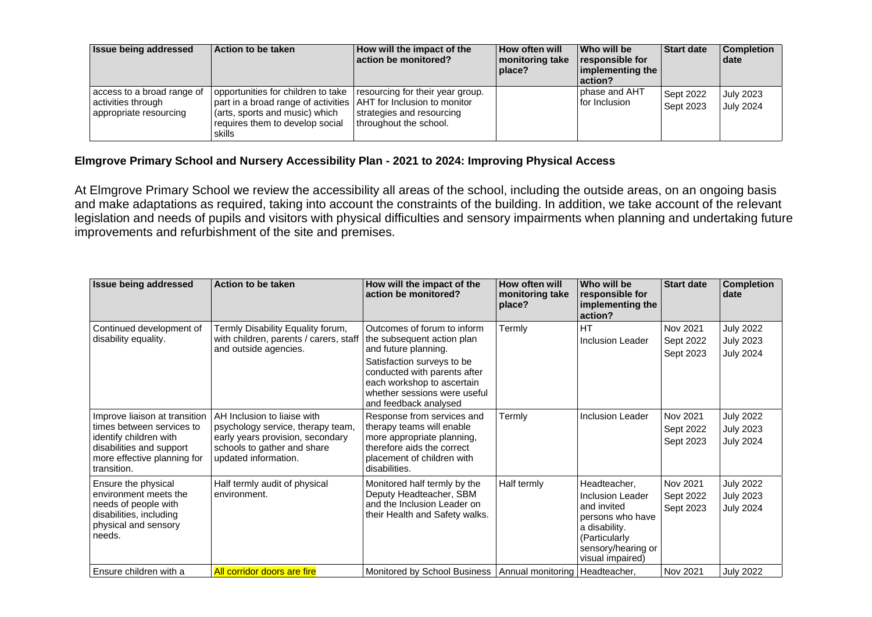| <b>Issue being addressed</b>                                               | Action to be taken                                                                                                                                                                    | How will the impact of the<br>action be monitored?                                      | <b>How often will</b><br>monitoring take<br>place? | Who will be<br>responsible for<br>  implementing the<br> action? | <b>Start date</b>      | <b>Completion</b><br><b>date</b>     |
|----------------------------------------------------------------------------|---------------------------------------------------------------------------------------------------------------------------------------------------------------------------------------|-----------------------------------------------------------------------------------------|----------------------------------------------------|------------------------------------------------------------------|------------------------|--------------------------------------|
| access to a broad range of<br>activities through<br>appropriate resourcing | opportunities for children to take<br>part in a broad range of activities AHT for Inclusion to monitor<br>(arts, sports and music) which<br>requires them to develop social<br>skills | resourcing for their year group.<br>strategies and resourcing<br>throughout the school. |                                                    | phase and AHT<br>for Inclusion                                   | Sept 2022<br>Sept 2023 | <b>July 2023</b><br><b>July 2024</b> |

## **Elmgrove Primary School and Nursery Accessibility Plan - 2021 to 2024: Improving Physical Access**

At Elmgrove Primary School we review the accessibility all areas of the school, including the outside areas, on an ongoing basis and make adaptations as required, taking into account the constraints of the building. In addition, we take account of the relevant legislation and needs of pupils and visitors with physical difficulties and sensory impairments when planning and undertaking future improvements and refurbishment of the site and premises.

| <b>Issue being addressed</b>                                                                                                                                   | Action to be taken                                                                                                                                          | How will the impact of the<br>action be monitored?                                                                                                                                                                                     | How often will<br>monitoring take<br>place? | Who will be<br>responsible for<br>implementing the<br>action?                                                                                          | <b>Start date</b>                  | <b>Completion</b><br>date                                |
|----------------------------------------------------------------------------------------------------------------------------------------------------------------|-------------------------------------------------------------------------------------------------------------------------------------------------------------|----------------------------------------------------------------------------------------------------------------------------------------------------------------------------------------------------------------------------------------|---------------------------------------------|--------------------------------------------------------------------------------------------------------------------------------------------------------|------------------------------------|----------------------------------------------------------|
| Continued development of<br>disability equality.                                                                                                               | Termly Disability Equality forum,<br>with children, parents / carers, staff<br>and outside agencies.                                                        | Outcomes of forum to inform<br>the subsequent action plan<br>and future planning.<br>Satisfaction surveys to be<br>conducted with parents after<br>each workshop to ascertain<br>whether sessions were useful<br>and feedback analysed | Termly                                      | <b>HT</b><br>Inclusion Leader                                                                                                                          | Nov 2021<br>Sept 2022<br>Sept 2023 | <b>July 2022</b><br>July 2023<br><b>July 2024</b>        |
| Improve liaison at transition<br>times between services to<br>identify children with<br>disabilities and support<br>more effective planning for<br>transition. | AH Inclusion to liaise with<br>psychology service, therapy team,<br>early years provision, secondary<br>schools to gather and share<br>updated information. | Response from services and<br>therapy teams will enable<br>more appropriate planning,<br>therefore aids the correct<br>placement of children with<br>disabilities.                                                                     | Termly                                      | Inclusion Leader                                                                                                                                       | Nov 2021<br>Sept 2022<br>Sept 2023 | <b>July 2022</b><br><b>July 2023</b><br><b>July 2024</b> |
| Ensure the physical<br>environment meets the<br>needs of people with<br>disabilities, including<br>physical and sensory<br>needs.                              | Half termly audit of physical<br>environment.                                                                                                               | Monitored half termly by the<br>Deputy Headteacher, SBM<br>and the Inclusion Leader on<br>their Health and Safety walks.                                                                                                               | Half termly                                 | Headteacher,<br><b>Inclusion Leader</b><br>and invited<br>persons who have<br>a disability.<br>(Particularly<br>sensory/hearing or<br>visual impaired) | Nov 2021<br>Sept 2022<br>Sept 2023 | <b>July 2022</b><br>July 2023<br><b>July 2024</b>        |
| Ensure children with a                                                                                                                                         | All corridor doors are fire                                                                                                                                 | Monitored by School Business   Annual monitoring   Headteacher,                                                                                                                                                                        |                                             |                                                                                                                                                        | Nov 2021                           | <b>July 2022</b>                                         |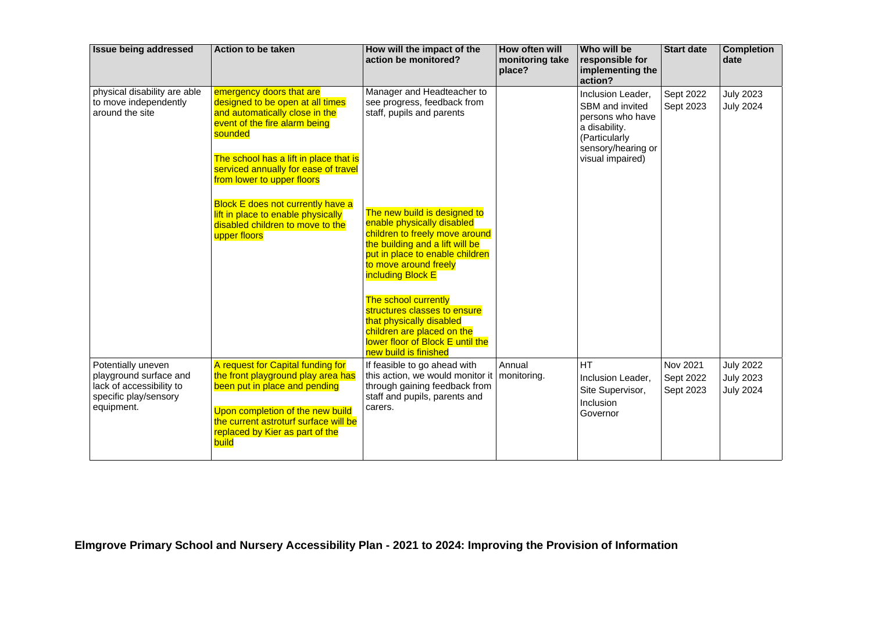| <b>Issue being addressed</b>                                                                                    | Action to be taken                                                                                                                                                                                                                                                                                                                                                                               | How will the impact of the<br>action be monitored?                                                                                                                                                                                                                                                                                                                                                                                                                                        | How often will<br>monitoring take<br>place? | Who will be<br>responsible for<br>implementing the<br>action?                                                                        | <b>Start date</b>                  | <b>Completion</b><br>date                                |
|-----------------------------------------------------------------------------------------------------------------|--------------------------------------------------------------------------------------------------------------------------------------------------------------------------------------------------------------------------------------------------------------------------------------------------------------------------------------------------------------------------------------------------|-------------------------------------------------------------------------------------------------------------------------------------------------------------------------------------------------------------------------------------------------------------------------------------------------------------------------------------------------------------------------------------------------------------------------------------------------------------------------------------------|---------------------------------------------|--------------------------------------------------------------------------------------------------------------------------------------|------------------------------------|----------------------------------------------------------|
| physical disability are able<br>to move independently<br>around the site                                        | emergency doors that are<br>designed to be open at all times<br>and automatically close in the<br>event of the fire alarm being<br>sounded<br>The school has a lift in place that is<br>serviced annually for ease of travel<br>from lower to upper floors<br><b>Block E does not currently have a</b><br>lift in place to enable physically<br>disabled children to move to the<br>upper floors | Manager and Headteacher to<br>see progress, feedback from<br>staff, pupils and parents<br>The new build is designed to<br>enable physically disabled<br>children to freely move around<br>the building and a lift will be<br>put in place to enable children<br>to move around freely<br>including Block E<br>The school currently<br>structures classes to ensure<br>that physically disabled<br>children are placed on the<br>lower floor of Block E until the<br>new build is finished |                                             | Inclusion Leader,<br>SBM and invited<br>persons who have<br>a disability.<br>(Particularly<br>sensory/hearing or<br>visual impaired) | Sept 2022<br>Sept 2023             | <b>July 2023</b><br><b>July 2024</b>                     |
| Potentially uneven<br>playground surface and<br>lack of accessibility to<br>specific play/sensory<br>equipment. | A request for Capital funding for<br>the front playground play area has<br>been put in place and pending<br>Upon completion of the new build<br>the current astroturf surface will be<br>replaced by Kier as part of the<br>build                                                                                                                                                                | If feasible to go ahead with<br>this action, we would monitor it   monitoring.<br>through gaining feedback from<br>staff and pupils, parents and<br>carers.                                                                                                                                                                                                                                                                                                                               | Annual                                      | <b>HT</b><br>Inclusion Leader,<br>Site Supervisor,<br>Inclusion<br>Governor                                                          | Nov 2021<br>Sept 2022<br>Sept 2023 | <b>July 2022</b><br><b>July 2023</b><br><b>July 2024</b> |

**Elmgrove Primary School and Nursery Accessibility Plan - 2021 to 2024: Improving the Provision of Information**